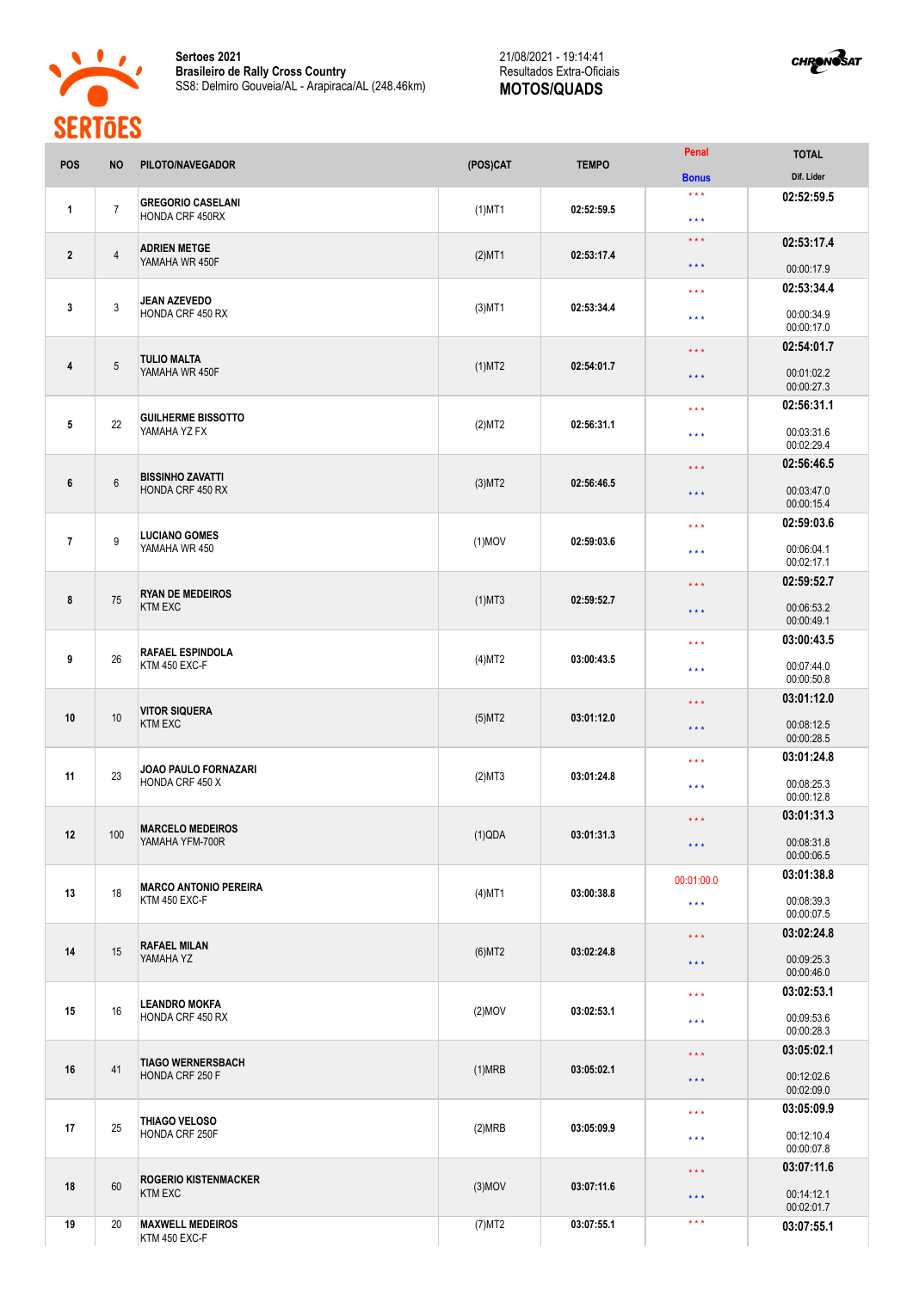

**Sertoes 2021 Brasileiro de Rally Cross Country** SS8: Delmiro Gouveia/AL - Arapiraca/AL (248.46km) 21/08/2021 - 19:14:41 Resultados Extra-Oficiais **MOTOS/QUADS**



| <b>POS</b>     | <b>NO</b>      | PILOTO/NAVEGADOR                                   | (POS)CAT  | <b>TEMPO</b>                                        | Penal                                                        | <b>TOTAL</b>             |
|----------------|----------------|----------------------------------------------------|-----------|-----------------------------------------------------|--------------------------------------------------------------|--------------------------|
|                |                |                                                    |           |                                                     | <b>Bonus</b>                                                 | Dif. Lider               |
| $\mathbf{1}$   | $\overline{7}$ | <b>GREGORIO CASELANI</b><br>HONDA CRF 450RX        | $(1)$ MT1 | 02:52:59.5                                          | $\star \star \star$<br>$\star$ $\star$ $\star$               | 02:52:59.5               |
| $\overline{2}$ | $\overline{4}$ | <b>ADRIEN METGE</b><br>YAMAHA WR 450F              | $(2)$ MT1 | 02:53:17.4                                          | $***$<br>$\star$ $\star$ $\star$                             | 02:53:17.4<br>00:00:17.9 |
|                |                |                                                    |           |                                                     |                                                              | 02:53:34.4               |
| 3              | 3              | <b>JEAN AZEVEDO</b><br>HONDA CRF 450 RX            | $(3)$ MT1 | 02:53:34.4                                          | $\star\star\star$<br>$\star\star\star$                       | 00:00:34.9<br>00:00:17.0 |
|                |                |                                                    |           |                                                     | $\star$ $\star$ $\star$                                      | 02:54:01.7               |
| 4              | 5              | <b>TULIO MALTA</b><br>YAMAHA WR 450F               | $(1)$ MT2 | 02:54:01.7                                          | * * *                                                        | 00:01:02.2<br>00:00:27.3 |
|                |                |                                                    |           |                                                     | $\star$ $\star$ $\star$                                      | 02:56:31.1               |
| 5              | 22             | <b>GUILHERME BISSOTTO</b><br>YAMAHA YZ FX          | (2)MT2    | 02:56:31.1                                          | $\star\star\star$                                            | 00:03:31.6<br>00:02:29.4 |
|                |                |                                                    |           |                                                     | $\star$ $\star$ $\star$                                      | 02:56:46.5               |
| 6              | $6\,$          | <b>BISSINHO ZAVATTI</b><br><b>HONDA CRF 450 RX</b> | $(3)$ MT2 | 02:56:46.5                                          | $***$                                                        | 00:03:47.0<br>00:00:15.4 |
|                |                | <b>LUCIANO GOMES</b>                               |           |                                                     | $\star$ $\star$ $\star$                                      | 02:59:03.6               |
| $\overline{7}$ | 9              | YAMAHA WR 450                                      | $(1)$ MOV | 02:59:03.6                                          | $\star$ $\star$ $\star$                                      | 00:06:04.1<br>00:02:17.1 |
|                |                | <b>RYAN DE MEDEIROS</b><br><b>KTM EXC</b>          |           |                                                     | 02:59:52.7<br>$\star \star \star$                            |                          |
| 8              | 75             |                                                    | $(1)$ MT3 | 02:59:52.7                                          | $\star\star\star$                                            | 00:06:53.2<br>00:00:49.1 |
|                |                | <b>RAFAEL ESPINDOLA</b><br>KTM 450 EXC-F           |           |                                                     | $\star$ $\star$ $\star$                                      | 03:00:43.5               |
| 9              | 26             |                                                    | (4)MT2    | 03:00:43.5                                          | $\star$ $\star$ $\star$                                      | 00:07:44.0<br>00:00:50.8 |
|                |                | <b>VITOR SIQUERA</b>                               |           |                                                     | 03:01:12.0<br>$\star$ $\star$ $\star$<br>00:08:12.5<br>$***$ |                          |
| 10             | 10             | <b>KTM EXC</b>                                     | $(5)$ MT2 | 03:01:12.0                                          |                                                              | 00:00:28.5               |
|                |                | <b>JOAO PAULO FORNAZARI</b><br>HONDA CRF 450 X     |           |                                                     | $\star$ $\star$ $\star$                                      | 03:01:24.8               |
| 11             | 23             |                                                    | (2)MT3    | 03:01:24.8                                          | $\star\star\star$                                            | 00:08:25.3<br>00:00:12.8 |
|                |                | <b>MARCELO MEDEIROS</b>                            |           |                                                     | $\star \star \star$                                          | 03:01:31.3               |
| 12             | 100            | YAMAHA YFM-700R                                    | (1)QDA    | 03:01:31.3                                          | $\star\star\star$                                            | 00:08:31.8<br>00:00:06.5 |
|                |                | <b>MARCO ANTONIO PEREIRA</b>                       |           | 00:01:00.0<br>03:00:38.8<br>$\star$ $\star$ $\star$ | 03:01:38.8                                                   |                          |
| 13             | 18             | KTM 450 EXC-F                                      | $(4)$ MT1 |                                                     |                                                              | 00:08:39.3<br>00:00:07.5 |
|                | 15             | <b>RAFAEL MILAN</b><br>YAMAHA YZ                   |           |                                                     | $\star\star\star$                                            | 03:02:24.8               |
| 14             |                |                                                    | $(6)$ MT2 | 03:02:24.8                                          | $***$                                                        | 00:09:25.3<br>00:00:46.0 |
|                | 16             | <b>LEANDRO MOKFA</b><br>HONDA CRF 450 RX           |           |                                                     | $\star\star\star$                                            | 03:02:53.1               |
| 15             |                |                                                    | $(2)$ MOV | 03:02:53.1                                          | $\star$ $\star$ $\star$                                      | 00:09:53.6<br>00:00:28.3 |
|                | 41             | <b>TIAGO WERNERSBACH</b><br>HONDA CRF 250 F        |           |                                                     | $\star$ $\star$ $\star$                                      | 03:05:02.1               |
| 16             |                |                                                    | (1)MRB    | 03:05:02.1                                          | $\star\star\star$                                            | 00:12:02.6<br>00:02:09.0 |
|                | 25             | THIAGO VELOSO<br>HONDA CRF 250F                    |           |                                                     | $\star$ $\star$ $\star$                                      | 03:05:09.9               |
| 17             |                |                                                    | (2)MRB    | 03:05:09.9                                          | $***$                                                        | 00:12:10.4<br>00:00:07.8 |
|                |                | <b>ROGERIO KISTENMACKER</b>                        |           |                                                     | $***$                                                        | 03:07:11.6               |
| 18             | 60             | <b>KTM EXC</b>                                     | $(3)$ MOV | 03:07:11.6                                          | $\star\star\star$                                            | 00:14:12.1<br>00:02:01.7 |
| 19             | 20             | <b>MAXWELL MEDEIROS</b><br>KTM 450 EXC-F           | (7) MT2   | 03:07:55.1                                          | $\star$ $\star$ $\star$                                      | 03:07:55.1               |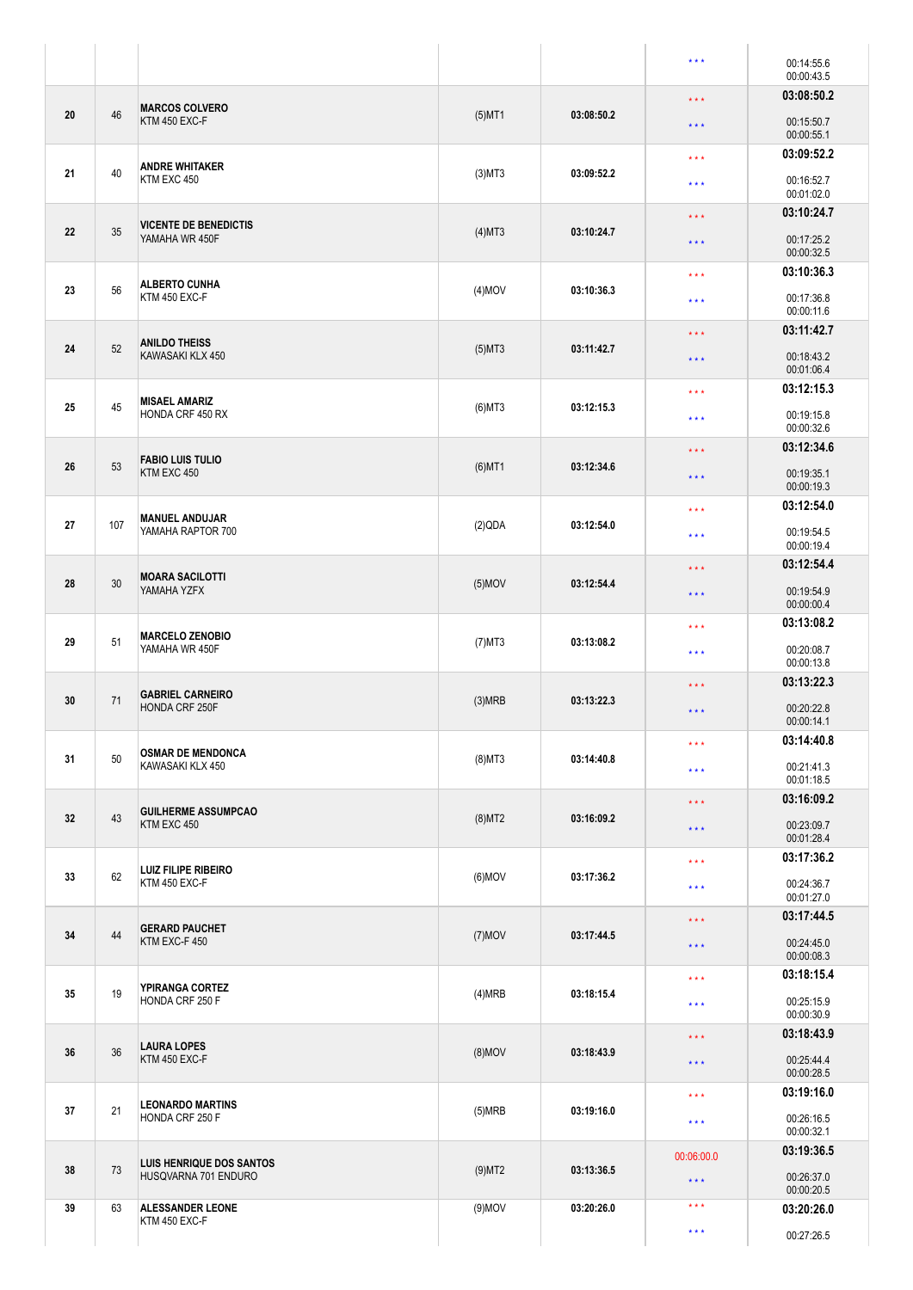|    |     |                                                  |                         |            | $\star \star \star$                                                                                                                                                                                                                                 | 00:14:55.6<br>00:00:43.5 |
|----|-----|--------------------------------------------------|-------------------------|------------|-----------------------------------------------------------------------------------------------------------------------------------------------------------------------------------------------------------------------------------------------------|--------------------------|
|    |     |                                                  |                         |            | $\star$ $\star$ $\star$                                                                                                                                                                                                                             | 03:08:50.2               |
| 20 | 46  | <b>MARCOS COLVERO</b><br>KTM 450 EXC-F           | $(5)$ MT1               | 03:08:50.2 | $\star$ $\star$ $\star$                                                                                                                                                                                                                             | 00:15:50.7<br>00:00:55.1 |
|    |     |                                                  |                         |            | $\star$ $\star$ $\star$                                                                                                                                                                                                                             | 03:09:52.2               |
| 21 | 40  | <b>ANDRE WHITAKER</b><br>KTM EXC 450             | $(3)$ MT $3$            | 03:09:52.2 |                                                                                                                                                                                                                                                     | 00:16:52.7               |
|    |     |                                                  |                         |            | $\star\star\star$                                                                                                                                                                                                                                   | 00:01:02.0               |
|    |     | <b>VICENTE DE BENEDICTIS</b><br>YAMAHA WR 450F   |                         |            | $\star \star \star$                                                                                                                                                                                                                                 | 03:10:24.7               |
| 22 | 35  |                                                  | $(4)$ MT3               | 03:10:24.7 |                                                                                                                                                                                                                                                     | 00:17:25.2               |
|    |     |                                                  |                         |            | $\star$ $\star$ $\star$                                                                                                                                                                                                                             | 00:00:32.5               |
|    | 56  | <b>ALBERTO CUNHA</b><br>KTM 450 EXC-F            |                         |            | $\star\star\star$                                                                                                                                                                                                                                   | 03:10:36.3               |
| 23 |     |                                                  | $(4)$ MOV               | 03:10:36.3 | $\star\star\star$                                                                                                                                                                                                                                   | 00:17:36.8               |
|    |     |                                                  |                         |            |                                                                                                                                                                                                                                                     | 00:00:11.6               |
|    | 52  |                                                  |                         |            | $\star$ $\star$ $\star$                                                                                                                                                                                                                             | 03:11:42.7               |
| 24 |     | <b>ANILDO THEISS</b><br>KAWASAKI KLX 450         | $(5)$ MT3<br>03:11:42.7 |            | $\star$ $\star$ $\star$                                                                                                                                                                                                                             | 00:18:43.2               |
|    |     |                                                  |                         |            |                                                                                                                                                                                                                                                     | 00:01:06.4               |
|    |     | <b>MISAEL AMARIZ</b>                             |                         |            | $\star$ $\star$ $\star$                                                                                                                                                                                                                             | 03:12:15.3               |
| 25 | 45  | <b>HONDA CRF 450 RX</b>                          | $(6)$ MT3               | 03:12:15.3 | $\star\star\star$                                                                                                                                                                                                                                   | 00:19:15.8               |
|    |     |                                                  |                         |            |                                                                                                                                                                                                                                                     | 00:00:32.6               |
|    |     | <b>FABIO LUIS TULIO</b>                          |                         |            | $\star \star \star$                                                                                                                                                                                                                                 | 03:12:34.6               |
| 26 | 53  | KTM EXC 450                                      | $(6)$ MT1               | 03:12:34.6 | $\star$ $\star$ $\star$                                                                                                                                                                                                                             | 00:19:35.1               |
|    |     |                                                  |                         |            |                                                                                                                                                                                                                                                     | 00:00:19.3               |
|    |     | <b>MANUEL ANDUJAR</b><br>YAMAHA RAPTOR 700       |                         |            | $\star\star\star$                                                                                                                                                                                                                                   | 03:12:54.0               |
| 27 | 107 |                                                  | (2)QDA                  | 03:12:54.0 | $\star\star\star$                                                                                                                                                                                                                                   | 00:19:54.5               |
|    |     |                                                  |                         |            |                                                                                                                                                                                                                                                     |                          |
| 28 | 30  | <b>MOARA SACILOTTI</b><br>YAMAHA YZFX            |                         |            | $\star$ $\star$ $\star$                                                                                                                                                                                                                             |                          |
|    |     |                                                  | $(5)$ MOV               | 03:12:54.4 | $\star$ $\star$ $\star$                                                                                                                                                                                                                             | 00:19:54.9               |
|    |     |                                                  |                         |            |                                                                                                                                                                                                                                                     |                          |
| 29 | 51  | <b>MARCELO ZENOBIO</b><br>YAMAHA WR 450F         | $(7)$ MT3               | 03:13:08.2 | 00:00:19.4<br>03:12:54.4<br>00:00:00.4<br>03:13:08.2<br>$\star\star\star$<br>00:20:08.7<br>$* * *$<br>00:00:13.8<br>03:13:22.3<br>$\star$ $\star$ $\star$<br>00:20:22.8<br>$\star$ $\star$ $\star$<br>00:00:14.1<br>03:14:40.8<br>$\star\star\star$ |                          |
|    |     |                                                  |                         |            |                                                                                                                                                                                                                                                     |                          |
|    | 71  |                                                  |                         |            |                                                                                                                                                                                                                                                     |                          |
| 30 |     | <b>GABRIEL CARNEIRO</b>                          | (3)MRB                  | 03:13:22.3 |                                                                                                                                                                                                                                                     |                          |
|    |     | <b>HONDA CRF 250F</b>                            |                         |            |                                                                                                                                                                                                                                                     |                          |
|    | 50  | <b>OSMAR DE MENDONCA</b><br>KAWASAKI KLX 450     |                         |            |                                                                                                                                                                                                                                                     |                          |
| 31 |     |                                                  | $(8)$ MT3               | 03:14:40.8 | $\star\star\star$                                                                                                                                                                                                                                   | 00:21:41.3               |
|    |     |                                                  |                         |            |                                                                                                                                                                                                                                                     | 00:01:18.5               |
|    | 43  | <b>GUILHERME ASSUMPCAO</b><br>KTM EXC 450        |                         |            | $\star$ $\star$ $\star$                                                                                                                                                                                                                             | 03:16:09.2               |
| 32 |     |                                                  | $(8)$ MT2               | 03:16:09.2 | $\star\star\star$                                                                                                                                                                                                                                   | 00:23:09.7               |
|    |     |                                                  |                         |            |                                                                                                                                                                                                                                                     | 00:01:28.4               |
|    | 62  | <b>LUIZ FILIPE RIBEIRO</b><br>KTM 450 EXC-F      |                         |            | $\star\star\star$                                                                                                                                                                                                                                   | 03:17:36.2               |
| 33 |     |                                                  | $(6)$ MOV               | 03:17:36.2 | $\star\star\star$                                                                                                                                                                                                                                   | 00:24:36.7               |
|    |     |                                                  |                         |            |                                                                                                                                                                                                                                                     | 00:01:27.0               |
| 34 | 44  | <b>GERARD PAUCHET</b><br>KTM EXC-F 450           | $(7)$ MOV               |            | $\star$ $\star$ $\star$                                                                                                                                                                                                                             | 03:17:44.5               |
|    |     |                                                  |                         |            | 03:17:44.5<br>$\star$ $\star$ $\star$                                                                                                                                                                                                               | 00:24:45.0<br>00:00:08.3 |
|    |     |                                                  |                         |            |                                                                                                                                                                                                                                                     | 03:18:15.4               |
| 35 | 19  | YPIRANGA CORTEZ<br>HONDA CRF 250 F               | (4)MRB                  | 03:18:15.4 | $\star\star\star$                                                                                                                                                                                                                                   |                          |
|    |     |                                                  |                         |            | $\star$ $\star$ $\star$                                                                                                                                                                                                                             | 00:25:15.9<br>00:00:30.9 |
|    |     |                                                  |                         |            | $\star$ $\star$ $\star$                                                                                                                                                                                                                             | 03:18:43.9               |
| 36 | 36  | <b>LAURA LOPES</b><br>KTM 450 EXC-F              | $(8)$ MOV               | 03:18:43.9 |                                                                                                                                                                                                                                                     | 00:25:44.4               |
|    |     |                                                  |                         |            | $\star$ $\star$ $\star$                                                                                                                                                                                                                             | 00:00:28.5               |
|    | 21  | <b>LEONARDO MARTINS</b><br>HONDA CRF 250 F       |                         |            | $\star\star\star$                                                                                                                                                                                                                                   | 03:19:16.0               |
| 37 |     |                                                  | (5)MRB                  | 03:19:16.0 | $\star\star\star$                                                                                                                                                                                                                                   | 00:26:16.5               |
|    |     |                                                  |                         |            |                                                                                                                                                                                                                                                     | 00:00:32.1               |
|    |     |                                                  |                         |            | 00:06:00.0                                                                                                                                                                                                                                          | 03:19:36.5               |
| 38 | 73  | LUIS HENRIQUE DOS SANTOS<br>HUSQVARNA 701 ENDURO | $(9)$ MT2               | 03:13:36.5 | $\star$ $\star$ $\star$                                                                                                                                                                                                                             | 00:26:37.0               |
|    |     |                                                  |                         |            |                                                                                                                                                                                                                                                     | 00:00:20.5               |
| 39 | 63  | <b>ALESSANDER LEONE</b><br>KTM 450 EXC-F         | $(9)$ MOV               | 03:20:26.0 | $\star$ $\star$ $\star$                                                                                                                                                                                                                             | 03:20:26.0               |
|    |     |                                                  |                         |            | $\star\star\star$                                                                                                                                                                                                                                   | 00:27:26.5               |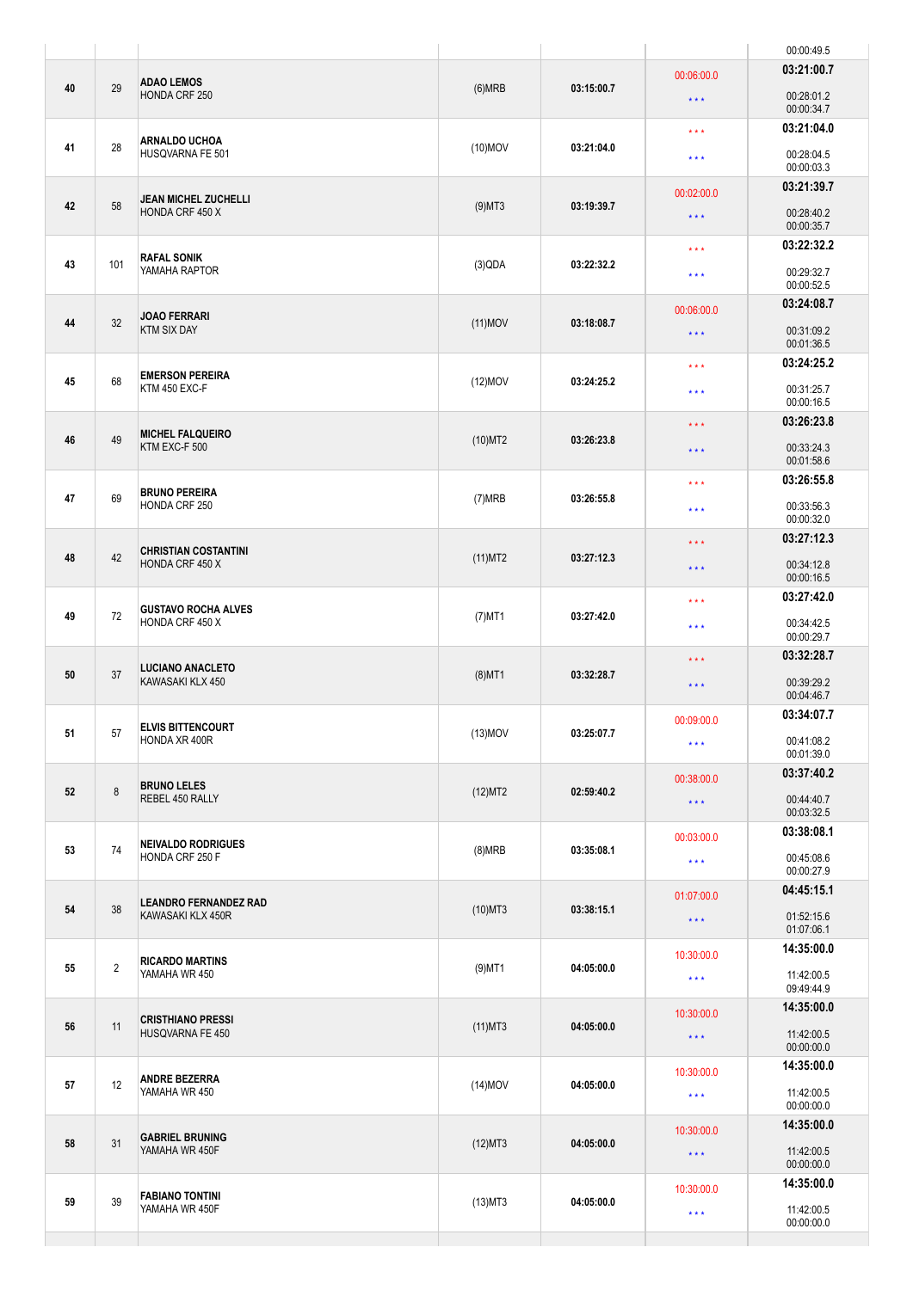|    |                |                                                                                   |            |            |                                                                                | 00:00:49.5               |
|----|----------------|-----------------------------------------------------------------------------------|------------|------------|--------------------------------------------------------------------------------|--------------------------|
| 40 | 29             | <b>ADAO LEMOS</b><br>HONDA CRF 250                                                | (6)MRB     | 03:15:00.7 | 00:06:00.0<br>$\star$ $\star$ $\star$                                          | 03:21:00.7<br>00:28:01.2 |
| 41 | 28             | <b>ARNALDO UCHOA</b>                                                              | $(10)$ MOV | 03:21:04.0 | $\star\star\star$                                                              | 00:00:34.7<br>03:21:04.0 |
|    |                | HUSQVARNA FE 501                                                                  |            |            | $\star\star\star$                                                              | 00:28:04.5<br>00:00:03.3 |
| 42 | 58             | JEAN MICHEL ZUCHELLI<br>HONDA CRF 450 X                                           | $(9)$ MT3  | 03:19:39.7 | 00:02:00.0                                                                     | 03:21:39.7               |
|    |                |                                                                                   |            |            | $\star\star\star$                                                              | 00:28:40.2<br>00:00:35.7 |
|    |                | <b>RAFAL SONIK</b>                                                                |            |            | $\star\star\star$                                                              | 03:22:32.2               |
| 43 | 101            | YAMAHA RAPTOR                                                                     | (3)QDA     | 03:22:32.2 | $\star\star\star$                                                              | 00:29:32.7<br>00:00:52.5 |
| 44 | 32             | <b>JOAO FERRARI</b>                                                               | $(11)$ MOV | 03:18:08.7 | 00:06:00.0                                                                     | 03:24:08.7               |
|    |                | <b>KTM SIX DAY</b>                                                                |            |            | $\star$ $\star$ $\star$                                                        | 00:31:09.2<br>00:01:36.5 |
| 45 | 68             | <b>EMERSON PEREIRA</b>                                                            | $(12)$ MOV | 03:24:25.2 | $\star$ $\star$ $\star$                                                        | 03:24:25.2               |
|    |                | KTM 450 EXC-F                                                                     |            |            | $\star\star\star$                                                              | 00:31:25.7<br>00:00:16.5 |
|    |                | <b>MICHEL FALQUEIRO</b><br>KTM EXC-F 500<br><b>BRUNO PEREIRA</b><br>HONDA CRF 250 |            |            | $\star$ $\star$ $\star$                                                        | 03:26:23.8               |
| 46 | 49             |                                                                                   | $(10)$ MT2 | 03:26:23.8 | $\star$ $\star$ $\star$                                                        | 00:33:24.3<br>00:01:58.6 |
|    |                |                                                                                   |            |            | $\star$ $\star$ $\star$                                                        | 03:26:55.8               |
| 47 | 69             |                                                                                   | (7)MRB     | 03:26:55.8 | $\star\star\star$                                                              | 00:33:56.3<br>00:00:32.0 |
|    |                | <b>CHRISTIAN COSTANTINI</b><br>HONDA CRF 450 X                                    |            |            | $\star$ $\star$ $\star$                                                        | 03:27:12.3               |
| 48 | 42             |                                                                                   | $(11)$ MT2 | 03:27:12.3 | $\star$ $\star$ $\star$                                                        | 00:34:12.8<br>00:00:16.5 |
|    | 72             | <b>GUSTAVO ROCHA ALVES</b><br>HONDA CRF 450 X                                     |            |            | $\star$ $\star$ $\star$                                                        | 03:27:42.0               |
| 49 |                |                                                                                   | $(7)$ MT1  | 03:27:42.0 | $\star$ $\star$ $\star$                                                        | 00:34:42.5<br>00:00:29.7 |
|    |                | <b>LUCIANO ANACLETO</b>                                                           |            |            | 03:32:28.7<br>$\star$ $\star$ $\star$<br>00:39:29.2<br>$\star$ $\star$ $\star$ |                          |
| 50 | 37             | KAWASAKI KLX 450                                                                  | $(8)$ MT1  | 03:32:28.7 |                                                                                | 00:04:46.7               |
| 51 | 57             | <b>ELVIS BITTENCOURT</b><br>HONDA XR 400R                                         | $(13)$ MOV | 03:25:07.7 | 00:09:00.0                                                                     | 03:34:07.7               |
|    |                |                                                                                   |            |            | $\star\star\star$                                                              | 00:41:08.2<br>00:01:39.0 |
|    | $\,8\,$        | <b>BRUNO LELES</b><br>REBEL 450 RALLY                                             | (12)MT2    | 02:59:40.2 | 00:38:00.0                                                                     | 03:37:40.2               |
| 52 |                |                                                                                   |            |            | $\star$ $\star$ $\star$                                                        | 00:44:40.7<br>00:03:32.5 |
|    | 74             | <b>NEIVALDO RODRIGUES</b><br>HONDA CRF 250 F                                      |            |            | 00:03:00.0                                                                     | 03:38:08.1               |
| 53 |                |                                                                                   | (8)MRB     | 03:35:08.1 | $\star\star\star$                                                              | 00:45:08.6<br>00:00:27.9 |
|    | 38             | <b>LEANDRO FERNANDEZ RAD</b><br>KAWASAKI KLX 450R                                 |            | 01:07:00.0 | 04:45:15.1                                                                     |                          |
| 54 |                |                                                                                   | $(10)$ MT3 | 03:38:15.1 | $\star\star\star$                                                              | 01:52:15.6<br>01:07:06.1 |
|    |                |                                                                                   |            |            | 10:30:00.0                                                                     | 14:35:00.0               |
| 55 | $\overline{2}$ | <b>RICARDO MARTINS</b><br>YAMAHA WR 450                                           | $(9)$ MT1  | 04:05:00.0 | $\star\star\star$                                                              | 11:42:00.5<br>09:49:44.9 |
|    | 11             | <b>CRISTHIANO PRESSI</b><br>HUSQVARNA FE 450                                      |            |            | 10:30:00.0                                                                     | 14:35:00.0               |
| 56 |                |                                                                                   | $(11)$ MT3 | 04:05:00.0 | $\star\star\star$                                                              | 11:42:00.5<br>00:00:00.0 |
|    | 12             | <b>ANDRE BEZERRA</b><br>YAMAHA WR 450                                             |            |            | 10:30:00.0                                                                     | 14:35:00.0               |
| 57 |                |                                                                                   | $(14)$ MOV | 04:05:00.0 | $\star\star\star$                                                              | 11:42:00.5<br>00:00:00.0 |
|    |                | <b>GABRIEL BRUNING</b>                                                            |            |            | 10:30:00.0                                                                     | 14:35:00.0               |
| 58 | 31             | YAMAHA WR 450F                                                                    | (12)MT3    | 04:05:00.0 | $\star\star\star$                                                              | 11:42:00.5<br>00:00:00.0 |
|    | 39             | <b>FABIANO TONTINI</b><br>YAMAHA WR 450F                                          | $(13)$ MT3 | 04:05:00.0 | 10:30:00.0                                                                     | 14:35:00.0               |
| 59 |                |                                                                                   |            |            | $\star$ $\star$ $\star$                                                        | 11:42:00.5<br>00:00:00.0 |
|    |                |                                                                                   |            |            |                                                                                |                          |